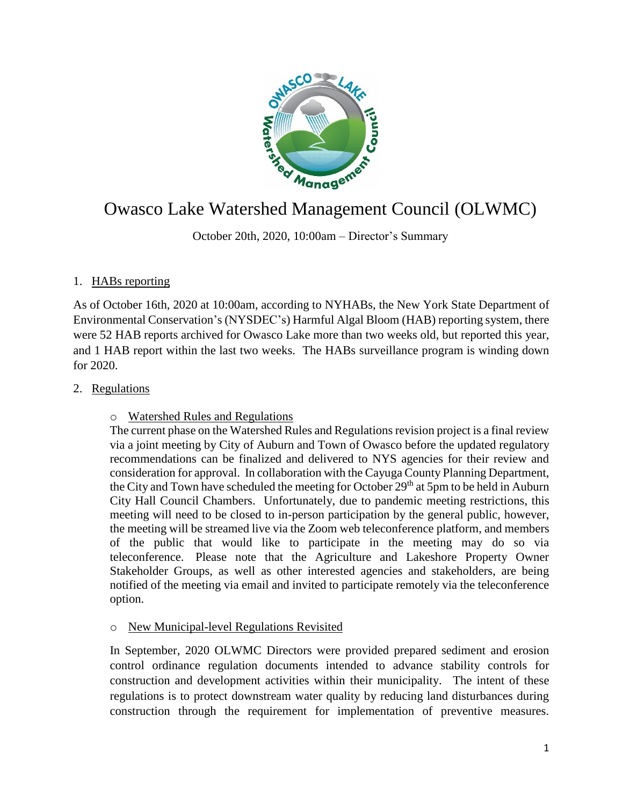

# Owasco Lake Watershed Management Council (OLWMC)

October 20th, 2020, 10:00am – Director's Summary

## 1. HABs reporting

As of October 16th, 2020 at 10:00am, according to NYHABs, the New York State Department of Environmental Conservation's (NYSDEC's) Harmful Algal Bloom (HAB) reporting system, there were 52 HAB reports archived for Owasco Lake more than two weeks old, but reported this year, and 1 HAB report within the last two weeks. The HABs surveillance program is winding down for 2020.

## 2. Regulations

#### o Watershed Rules and Regulations

The current phase on the Watershed Rules and Regulations revision project is a final review via a joint meeting by City of Auburn and Town of Owasco before the updated regulatory recommendations can be finalized and delivered to NYS agencies for their review and consideration for approval. In collaboration with the Cayuga County Planning Department, the City and Town have scheduled the meeting for October  $29<sup>th</sup>$  at 5pm to be held in Auburn City Hall Council Chambers. Unfortunately, due to pandemic meeting restrictions, this meeting will need to be closed to in-person participation by the general public, however, the meeting will be streamed live via the Zoom web teleconference platform, and members of the public that would like to participate in the meeting may do so via teleconference. Please note that the Agriculture and Lakeshore Property Owner Stakeholder Groups, as well as other interested agencies and stakeholders, are being notified of the meeting via email and invited to participate remotely via the teleconference option.

## o New Municipal-level Regulations Revisited

In September, 2020 OLWMC Directors were provided prepared sediment and erosion control ordinance regulation documents intended to advance stability controls for construction and development activities within their municipality. The intent of these regulations is to protect downstream water quality by reducing land disturbances during construction through the requirement for implementation of preventive measures.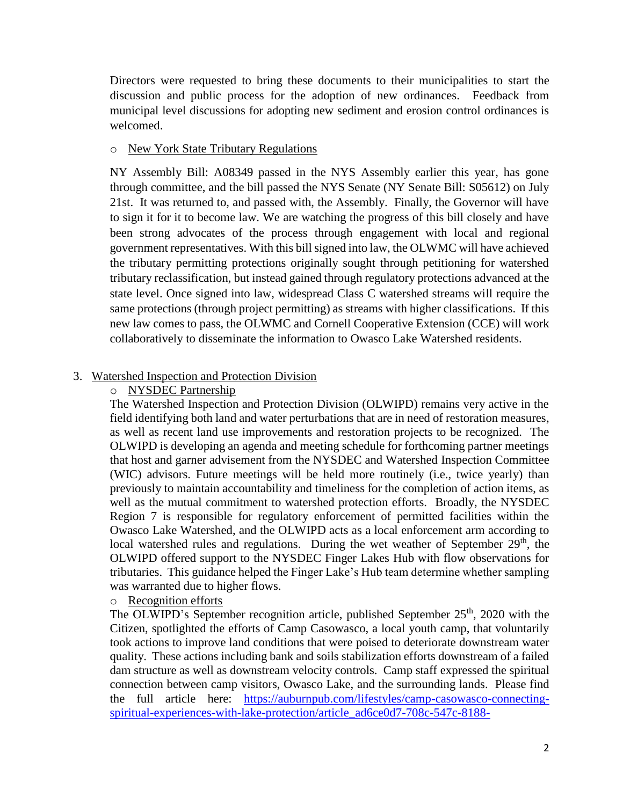Directors were requested to bring these documents to their municipalities to start the discussion and public process for the adoption of new ordinances. Feedback from municipal level discussions for adopting new sediment and erosion control ordinances is welcomed.

#### o New York State Tributary Regulations

NY Assembly Bill: A08349 passed in the NYS Assembly earlier this year, has gone through committee, and the bill passed the NYS Senate (NY Senate Bill: S05612) on July 21st. It was returned to, and passed with, the Assembly. Finally, the Governor will have to sign it for it to become law. We are watching the progress of this bill closely and have been strong advocates of the process through engagement with local and regional government representatives. With this bill signed into law, the OLWMC will have achieved the tributary permitting protections originally sought through petitioning for watershed tributary reclassification, but instead gained through regulatory protections advanced at the state level. Once signed into law, widespread Class C watershed streams will require the same protections (through project permitting) as streams with higher classifications. If this new law comes to pass, the OLWMC and Cornell Cooperative Extension (CCE) will work collaboratively to disseminate the information to Owasco Lake Watershed residents.

#### 3. Watershed Inspection and Protection Division

#### o NYSDEC Partnership

The Watershed Inspection and Protection Division (OLWIPD) remains very active in the field identifying both land and water perturbations that are in need of restoration measures, as well as recent land use improvements and restoration projects to be recognized. The OLWIPD is developing an agenda and meeting schedule for forthcoming partner meetings that host and garner advisement from the NYSDEC and Watershed Inspection Committee (WIC) advisors. Future meetings will be held more routinely (i.e., twice yearly) than previously to maintain accountability and timeliness for the completion of action items, as well as the mutual commitment to watershed protection efforts. Broadly, the NYSDEC Region 7 is responsible for regulatory enforcement of permitted facilities within the Owasco Lake Watershed, and the OLWIPD acts as a local enforcement arm according to local watershed rules and regulations. During the wet weather of September 29<sup>th</sup>, the OLWIPD offered support to the NYSDEC Finger Lakes Hub with flow observations for tributaries. This guidance helped the Finger Lake's Hub team determine whether sampling was warranted due to higher flows.

#### o Recognition efforts

The OLWIPD's September recognition article, published September  $25<sup>th</sup>$ , 2020 with the Citizen, spotlighted the efforts of Camp Casowasco, a local youth camp, that voluntarily took actions to improve land conditions that were poised to deteriorate downstream water quality. These actions including bank and soils stabilization efforts downstream of a failed dam structure as well as downstream velocity controls. Camp staff expressed the spiritual connection between camp visitors, Owasco Lake, and the surrounding lands. Please find the full article here: [https://auburnpub.com/lifestyles/camp-casowasco-connecting](https://auburnpub.com/lifestyles/camp-casowasco-connecting-spiritual-experiences-with-lake-protection/article_ad6ce0d7-708c-547c-8188-fde8d41f45c8.html)[spiritual-experiences-with-lake-protection/article\\_ad6ce0d7-708c-547c-8188-](https://auburnpub.com/lifestyles/camp-casowasco-connecting-spiritual-experiences-with-lake-protection/article_ad6ce0d7-708c-547c-8188-fde8d41f45c8.html)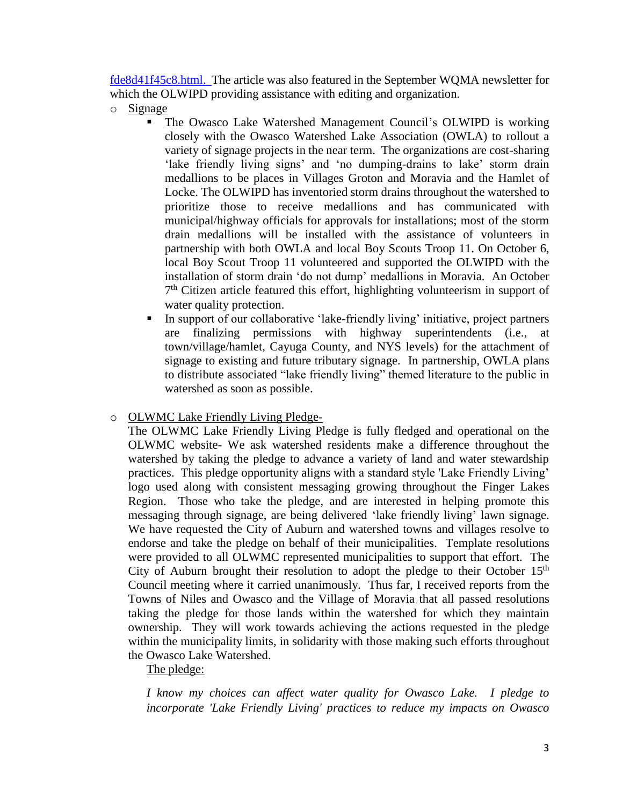[fde8d41f45c8.html.](https://auburnpub.com/lifestyles/camp-casowasco-connecting-spiritual-experiences-with-lake-protection/article_ad6ce0d7-708c-547c-8188-fde8d41f45c8.html) The article was also featured in the September WQMA newsletter for which the OLWIPD providing assistance with editing and organization.

- o Signage
	- The Owasco Lake Watershed Management Council's OLWIPD is working closely with the Owasco Watershed Lake Association (OWLA) to rollout a variety of signage projects in the near term. The organizations are cost-sharing 'lake friendly living signs' and 'no dumping-drains to lake' storm drain medallions to be places in Villages Groton and Moravia and the Hamlet of Locke. The OLWIPD has inventoried storm drains throughout the watershed to prioritize those to receive medallions and has communicated with municipal/highway officials for approvals for installations; most of the storm drain medallions will be installed with the assistance of volunteers in partnership with both OWLA and local Boy Scouts Troop 11. On October 6, local Boy Scout Troop 11 volunteered and supported the OLWIPD with the installation of storm drain 'do not dump' medallions in Moravia. An October 7<sup>th</sup> Citizen article featured this effort, highlighting volunteerism in support of water quality protection.
	- In support of our collaborative 'lake-friendly living' initiative, project partners are finalizing permissions with highway superintendents (i.e., at town/village/hamlet, Cayuga County, and NYS levels) for the attachment of signage to existing and future tributary signage. In partnership, OWLA plans to distribute associated "lake friendly living" themed literature to the public in watershed as soon as possible.

#### o OLWMC Lake Friendly Living Pledge-

The OLWMC Lake Friendly Living Pledge is fully fledged and operational on the OLWMC website- We ask watershed residents make a difference throughout the watershed by taking the pledge to advance a variety of land and water stewardship practices. This pledge opportunity aligns with a standard style 'Lake Friendly Living' logo used along with consistent messaging growing throughout the Finger Lakes Region. Those who take the pledge, and are interested in helping promote this messaging through signage, are being delivered 'lake friendly living' lawn signage. We have requested the City of Auburn and watershed towns and villages resolve to endorse and take the pledge on behalf of their municipalities. Template resolutions were provided to all OLWMC represented municipalities to support that effort. The City of Auburn brought their resolution to adopt the pledge to their October  $15<sup>th</sup>$ Council meeting where it carried unanimously. Thus far, I received reports from the Towns of Niles and Owasco and the Village of Moravia that all passed resolutions taking the pledge for those lands within the watershed for which they maintain ownership. They will work towards achieving the actions requested in the pledge within the municipality limits, in solidarity with those making such efforts throughout the Owasco Lake Watershed.

## The pledge:

*I know my choices can affect water quality for Owasco Lake. I pledge to incorporate 'Lake Friendly Living' practices to reduce my impacts on Owasco*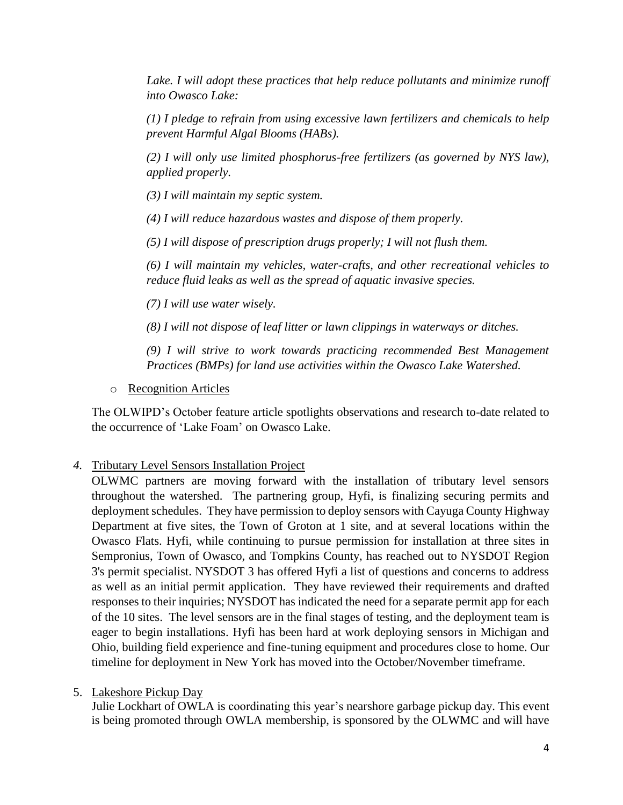Lake. I will adopt these practices that help reduce pollutants and minimize runoff *into Owasco Lake:*

*(1) I pledge to refrain from using excessive lawn fertilizers and chemicals to help prevent Harmful Algal Blooms (HABs).*

*(2) I will only use limited phosphorus-free fertilizers (as governed by NYS law), applied properly.*

*(3) I will maintain my septic system.*

*(4) I will reduce hazardous wastes and dispose of them properly.*

*(5) I will dispose of prescription drugs properly; I will not flush them.*

*(6) I will maintain my vehicles, water-crafts, and other recreational vehicles to reduce fluid leaks as well as the spread of aquatic invasive species.*

*(7) I will use water wisely.*

*(8) I will not dispose of leaf litter or lawn clippings in waterways or ditches.*

*(9) I will strive to work towards practicing recommended Best Management Practices (BMPs) for land use activities within the Owasco Lake Watershed.*

o Recognition Articles

The OLWIPD's October feature article spotlights observations and research to-date related to the occurrence of 'Lake Foam' on Owasco Lake.

## *4.* Tributary Level Sensors Installation Project

OLWMC partners are moving forward with the installation of tributary level sensors throughout the watershed. The partnering group, Hyfi, is finalizing securing permits and deployment schedules. They have permission to deploy sensors with Cayuga County Highway Department at five sites, the Town of Groton at 1 site, and at several locations within the Owasco Flats. Hyfi, while continuing to pursue permission for installation at three sites in Sempronius, Town of Owasco, and Tompkins County, has reached out to NYSDOT Region 3's permit specialist. NYSDOT 3 has offered Hyfi a list of questions and concerns to address as well as an initial permit application. They have reviewed their requirements and drafted responses to their inquiries; NYSDOT has indicated the need for a separate permit app for each of the 10 sites. The level sensors are in the final stages of testing, and the deployment team is eager to begin installations. Hyfi has been hard at work deploying sensors in Michigan and Ohio, building field experience and fine-tuning equipment and procedures close to home. Our timeline for deployment in New York has moved into the October/November timeframe.

## 5. Lakeshore Pickup Day

Julie Lockhart of OWLA is coordinating this year's nearshore garbage pickup day. This event is being promoted through OWLA membership, is sponsored by the OLWMC and will have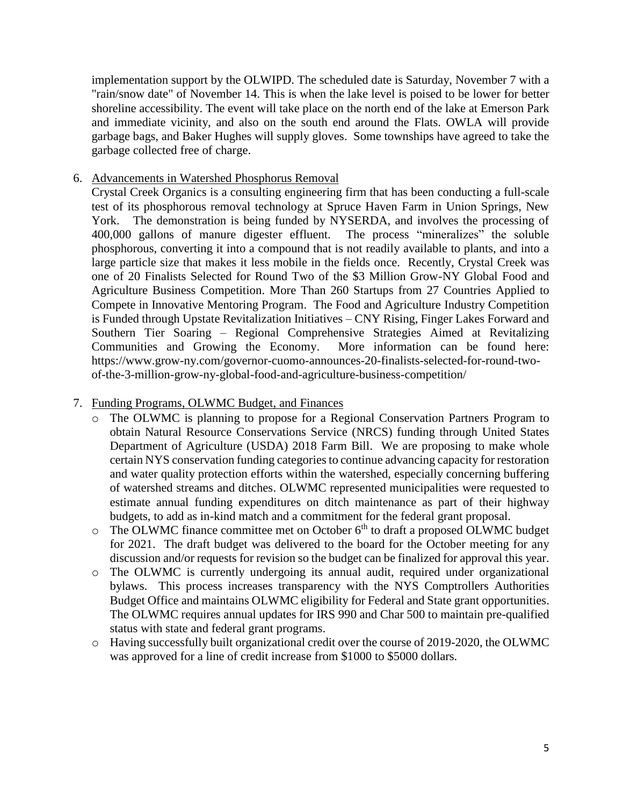implementation support by the OLWIPD. The scheduled date is Saturday, November 7 with a "rain/snow date" of November 14. This is when the lake level is poised to be lower for better shoreline accessibility. The event will take place on the north end of the lake at Emerson Park and immediate vicinity, and also on the south end around the Flats. OWLA will provide garbage bags, and Baker Hughes will supply gloves. Some townships have agreed to take the garbage collected free of charge.

## 6. Advancements in Watershed Phosphorus Removal

Crystal Creek Organics is a consulting engineering firm that has been conducting a full-scale test of its phosphorous removal technology at Spruce Haven Farm in Union Springs, New York. The demonstration is being funded by NYSERDA, and involves the processing of 400,000 gallons of manure digester effluent. The process "mineralizes" the soluble phosphorous, converting it into a compound that is not readily available to plants, and into a large particle size that makes it less mobile in the fields once. Recently, Crystal Creek was one of 20 Finalists Selected for Round Two of the \$3 Million Grow-NY Global Food and Agriculture Business Competition. More Than 260 Startups from 27 Countries Applied to Compete in Innovative Mentoring Program. The Food and Agriculture Industry Competition is Funded through Upstate Revitalization Initiatives – CNY Rising, Finger Lakes Forward and Southern Tier Soaring – Regional Comprehensive Strategies Aimed at Revitalizing Communities and Growing the Economy. More information can be found here: https://www.grow-ny.com/governor-cuomo-announces-20-finalists-selected-for-round-twoof-the-3-million-grow-ny-global-food-and-agriculture-business-competition/

#### 7. Funding Programs, OLWMC Budget, and Finances

- o The OLWMC is planning to propose for a Regional Conservation Partners Program to obtain Natural Resource Conservations Service (NRCS) funding through United States Department of Agriculture (USDA) 2018 Farm Bill. We are proposing to make whole certain NYS conservation funding categories to continue advancing capacity for restoration and water quality protection efforts within the watershed, especially concerning buffering of watershed streams and ditches. OLWMC represented municipalities were requested to estimate annual funding expenditures on ditch maintenance as part of their highway budgets, to add as in-kind match and a commitment for the federal grant proposal.
- $\circ$  The OLWMC finance committee met on October 6<sup>th</sup> to draft a proposed OLWMC budget for 2021. The draft budget was delivered to the board for the October meeting for any discussion and/or requests for revision so the budget can be finalized for approval this year.
- o The OLWMC is currently undergoing its annual audit, required under organizational bylaws. This process increases transparency with the NYS Comptrollers Authorities Budget Office and maintains OLWMC eligibility for Federal and State grant opportunities. The OLWMC requires annual updates for IRS 990 and Char 500 to maintain pre-qualified status with state and federal grant programs.
- o Having successfully built organizational credit over the course of 2019-2020, the OLWMC was approved for a line of credit increase from \$1000 to \$5000 dollars.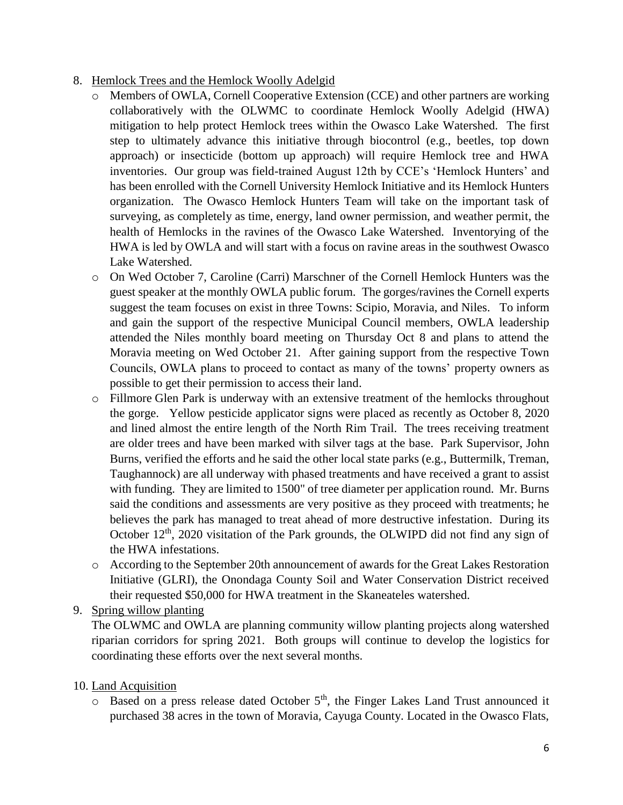- 8. Hemlock Trees and the Hemlock Woolly Adelgid
	- o Members of OWLA, Cornell Cooperative Extension (CCE) and other partners are working collaboratively with the OLWMC to coordinate Hemlock Woolly Adelgid (HWA) mitigation to help protect Hemlock trees within the Owasco Lake Watershed. The first step to ultimately advance this initiative through biocontrol (e.g., beetles, top down approach) or insecticide (bottom up approach) will require Hemlock tree and HWA inventories. Our group was field-trained August 12th by CCE's 'Hemlock Hunters' and has been enrolled with the Cornell University Hemlock Initiative and its Hemlock Hunters organization. The Owasco Hemlock Hunters Team will take on the important task of surveying, as completely as time, energy, land owner permission, and weather permit, the health of Hemlocks in the ravines of the Owasco Lake Watershed. Inventorying of the HWA is led by OWLA and will start with a focus on ravine areas in the southwest Owasco Lake Watershed.
	- o On Wed October 7, Caroline (Carri) Marschner of the Cornell Hemlock Hunters was the guest speaker at the monthly OWLA public forum. The gorges/ravines the Cornell experts suggest the team focuses on exist in three Towns: Scipio, Moravia, and Niles. To inform and gain the support of the respective Municipal Council members, OWLA leadership attended the Niles monthly board meeting on Thursday Oct 8 and plans to attend the Moravia meeting on Wed October 21. After gaining support from the respective Town Councils, OWLA plans to proceed to contact as many of the towns' property owners as possible to get their permission to access their land.
	- o Fillmore Glen Park is underway with an extensive treatment of the hemlocks throughout the gorge. Yellow pesticide applicator signs were placed as recently as October 8, 2020 and lined almost the entire length of the North Rim Trail. The trees receiving treatment are older trees and have been marked with silver tags at the base. Park Supervisor, John Burns, verified the efforts and he said the other local state parks (e.g., Buttermilk, Treman, Taughannock) are all underway with phased treatments and have received a grant to assist with funding. They are limited to 1500" of tree diameter per application round. Mr. Burns said the conditions and assessments are very positive as they proceed with treatments; he believes the park has managed to treat ahead of more destructive infestation. During its October  $12<sup>th</sup>$ , 2020 visitation of the Park grounds, the OLWIPD did not find any sign of the HWA infestations.
	- o According to the September 20th announcement of awards for the Great Lakes Restoration Initiative (GLRI), the Onondaga County Soil and Water Conservation District received their requested \$50,000 for HWA treatment in the Skaneateles watershed.
- 9. Spring willow planting

The OLWMC and OWLA are planning community willow planting projects along watershed riparian corridors for spring 2021. Both groups will continue to develop the logistics for coordinating these efforts over the next several months.

- 10. Land Acquisition
	- $\circ$  Based on a press release dated October 5<sup>th</sup>, the Finger Lakes Land Trust announced it purchased 38 acres in the town of Moravia, Cayuga County. Located in the Owasco Flats,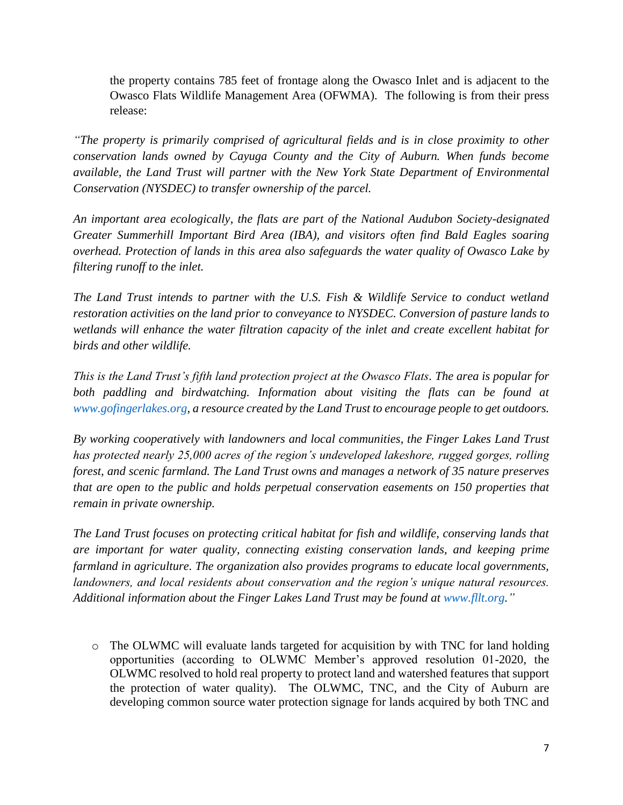the property contains 785 feet of frontage along the Owasco Inlet and is adjacent to the Owasco Flats Wildlife Management Area (OFWMA). The following is from their press release:

*"The property is primarily comprised of agricultural fields and is in close proximity to other conservation lands owned by Cayuga County and the City of Auburn. When funds become available, the Land Trust will partner with the New York State Department of Environmental Conservation (NYSDEC) to transfer ownership of the parcel.*

*An important area ecologically, the flats are part of the National Audubon Society-designated Greater Summerhill Important Bird Area (IBA), and visitors often find Bald Eagles soaring overhead. Protection of lands in this area also safeguards the water quality of Owasco Lake by filtering runoff to the inlet.*

*The Land Trust intends to partner with the U.S. Fish & Wildlife Service to conduct wetland restoration activities on the land prior to conveyance to NYSDEC. Conversion of pasture lands to wetlands will enhance the water filtration capacity of the inlet and create excellent habitat for birds and other wildlife.*

*This is the Land Trust's fifth land protection project at the Owasco Flats. The area is popular for both paddling and birdwatching. Information about visiting the flats can be found at www.gofingerlakes.org, a resource created by the Land Trust to encourage people to get outdoors.*

*By working cooperatively with landowners and local communities, the Finger Lakes Land Trust has protected nearly 25,000 acres of the region's undeveloped lakeshore, rugged gorges, rolling forest, and scenic farmland. The Land Trust owns and manages a network of 35 nature preserves that are open to the public and holds perpetual conservation easements on 150 properties that remain in private ownership.*

*The Land Trust focuses on protecting critical habitat for fish and wildlife, conserving lands that are important for water quality, connecting existing conservation lands, and keeping prime farmland in agriculture. The organization also provides programs to educate local governments, landowners, and local residents about conservation and the region's unique natural resources. Additional information about the Finger Lakes Land Trust may be found at www.fllt.org."*

 $\circ$  The OLWMC will evaluate lands targeted for acquisition by with TNC for land holding opportunities (according to OLWMC Member's approved resolution 01-2020, the OLWMC resolved to hold real property to protect land and watershed features that support the protection of water quality). The OLWMC, TNC, and the City of Auburn are developing common source water protection signage for lands acquired by both TNC and